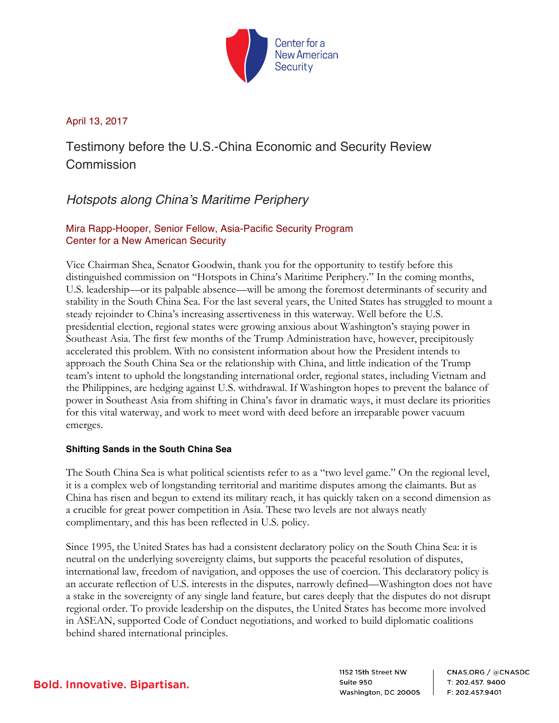

### April 13, 2017

Testimony before the U.S.-China Economic and Security Review Commission

# *Hotspots along China's Maritime Periphery*

## Mira Rapp-Hooper, Senior Fellow, Asia-Pacific Security Program Center for a New American Security

Vice Chairman Shea, Senator Goodwin, thank you for the opportunity to testify before this distinguished commission on "Hotspots in China's Maritime Periphery." In the coming months, U.S. leadership—or its palpable absence—will be among the foremost determinants of security and stability in the South China Sea. For the last several years, the United States has struggled to mount a steady rejoinder to China's increasing assertiveness in this waterway. Well before the U.S. presidential election, regional states were growing anxious about Washington's staying power in Southeast Asia. The first few months of the Trump Administration have, however, precipitously accelerated this problem. With no consistent information about how the President intends to approach the South China Sea or the relationship with China, and little indication of the Trump team's intent to uphold the longstanding international order, regional states, including Vietnam and the Philippines, are hedging against U.S. withdrawal. If Washington hopes to prevent the balance of power in Southeast Asia from shifting in China's favor in dramatic ways, it must declare its priorities for this vital waterway, and work to meet word with deed before an irreparable power vacuum emerges.

### **Shifting Sands in the South China Sea**

The South China Sea is what political scientists refer to as a "two level game." On the regional level, it is a complex web of longstanding territorial and maritime disputes among the claimants. But as China has risen and begun to extend its military reach, it has quickly taken on a second dimension as a crucible for great power competition in Asia. These two levels are not always neatly complimentary, and this has been reflected in U.S. policy.

Since 1995, the United States has had a consistent declaratory policy on the South China Sea: it is neutral on the underlying sovereignty claims, but supports the peaceful resolution of disputes, international law, freedom of navigation, and opposes the use of coercion. This declaratory policy is an accurate reflection of U.S. interests in the disputes, narrowly defined—Washington does not have a stake in the sovereignty of any single land feature, but cares deeply that the disputes do not disrupt regional order. To provide leadership on the disputes, the United States has become more involved in ASEAN, supported Code of Conduct negotiations, and worked to build diplomatic coalitions behind shared international principles.

1152 15th Street NW Suite 950 Washington, DC 20005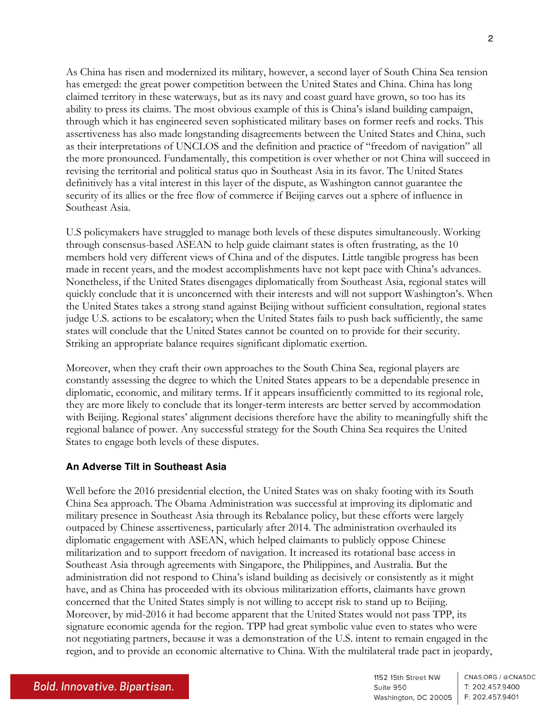As China has risen and modernized its military, however, a second layer of South China Sea tension has emerged: the great power competition between the United States and China. China has long claimed territory in these waterways, but as its navy and coast guard have grown, so too has its ability to press its claims. The most obvious example of this is China's island building campaign, through which it has engineered seven sophisticated military bases on former reefs and rocks. This assertiveness has also made longstanding disagreements between the United States and China, such as their interpretations of UNCLOS and the definition and practice of "freedom of navigation" all the more pronounced. Fundamentally, this competition is over whether or not China will succeed in revising the territorial and political status quo in Southeast Asia in its favor. The United States definitively has a vital interest in this layer of the dispute, as Washington cannot guarantee the security of its allies or the free flow of commerce if Beijing carves out a sphere of influence in Southeast Asia.

U.S policymakers have struggled to manage both levels of these disputes simultaneously. Working through consensus-based ASEAN to help guide claimant states is often frustrating, as the 10 members hold very different views of China and of the disputes. Little tangible progress has been made in recent years, and the modest accomplishments have not kept pace with China's advances. Nonetheless, if the United States disengages diplomatically from Southeast Asia, regional states will quickly conclude that it is unconcerned with their interests and will not support Washington's. When the United States takes a strong stand against Beijing without sufficient consultation, regional states judge U.S. actions to be escalatory; when the United States fails to push back sufficiently, the same states will conclude that the United States cannot be counted on to provide for their security. Striking an appropriate balance requires significant diplomatic exertion.

Moreover, when they craft their own approaches to the South China Sea, regional players are constantly assessing the degree to which the United States appears to be a dependable presence in diplomatic, economic, and military terms. If it appears insufficiently committed to its regional role, they are more likely to conclude that its longer-term interests are better served by accommodation with Beijing. Regional states' alignment decisions therefore have the ability to meaningfully shift the regional balance of power. Any successful strategy for the South China Sea requires the United States to engage both levels of these disputes.

#### **An Adverse Tilt in Southeast Asia**

Well before the 2016 presidential election, the United States was on shaky footing with its South China Sea approach. The Obama Administration was successful at improving its diplomatic and military presence in Southeast Asia through its Rebalance policy, but these efforts were largely outpaced by Chinese assertiveness, particularly after 2014. The administration overhauled its diplomatic engagement with ASEAN, which helped claimants to publicly oppose Chinese militarization and to support freedom of navigation. It increased its rotational base access in Southeast Asia through agreements with Singapore, the Philippines, and Australia. But the administration did not respond to China's island building as decisively or consistently as it might have, and as China has proceeded with its obvious militarization efforts, claimants have grown concerned that the United States simply is not willing to accept risk to stand up to Beijing. Moreover, by mid-2016 it had become apparent that the United States would not pass TPP, its signature economic agenda for the region. TPP had great symbolic value even to states who were not negotiating partners, because it was a demonstration of the U.S. intent to remain engaged in the region, and to provide an economic alternative to China. With the multilateral trade pact in jeopardy,

1152 15th Street NW CNAS.ORG / @CNASDC T: 202.457.9400 Suite 950 Washington, DC 20005 | F: 202.457.9401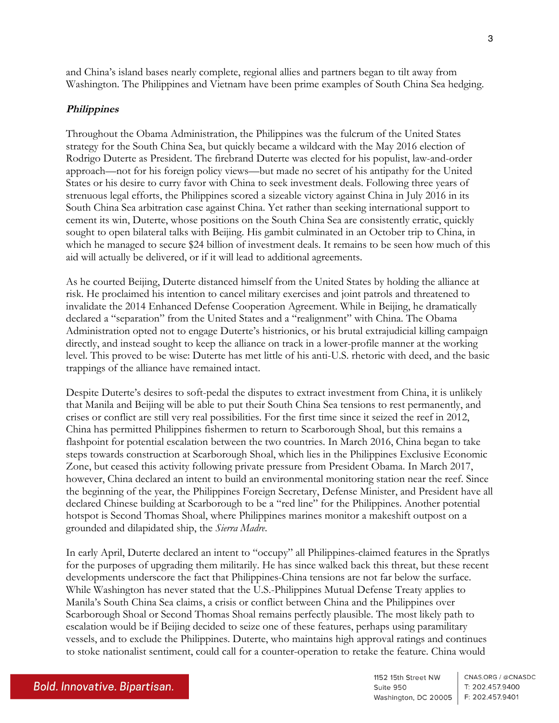and China's island bases nearly complete, regional allies and partners began to tilt away from Washington. The Philippines and Vietnam have been prime examples of South China Sea hedging.

#### **Philippines**

Throughout the Obama Administration, the Philippines was the fulcrum of the United States strategy for the South China Sea, but quickly became a wildcard with the May 2016 election of Rodrigo Duterte as President. The firebrand Duterte was elected for his populist, law-and-order approach—not for his foreign policy views—but made no secret of his antipathy for the United States or his desire to curry favor with China to seek investment deals. Following three years of strenuous legal efforts, the Philippines scored a sizeable victory against China in July 2016 in its South China Sea arbitration case against China. Yet rather than seeking international support to cement its win, Duterte, whose positions on the South China Sea are consistently erratic, quickly sought to open bilateral talks with Beijing. His gambit culminated in an October trip to China, in which he managed to secure \$24 billion of investment deals. It remains to be seen how much of this aid will actually be delivered, or if it will lead to additional agreements.

As he courted Beijing, Duterte distanced himself from the United States by holding the alliance at risk. He proclaimed his intention to cancel military exercises and joint patrols and threatened to invalidate the 2014 Enhanced Defense Cooperation Agreement. While in Beijing, he dramatically declared a "separation" from the United States and a "realignment" with China. The Obama Administration opted not to engage Duterte's histrionics, or his brutal extrajudicial killing campaign directly, and instead sought to keep the alliance on track in a lower-profile manner at the working level. This proved to be wise: Duterte has met little of his anti-U.S. rhetoric with deed, and the basic trappings of the alliance have remained intact.

Despite Duterte's desires to soft-pedal the disputes to extract investment from China, it is unlikely that Manila and Beijing will be able to put their South China Sea tensions to rest permanently, and crises or conflict are still very real possibilities. For the first time since it seized the reef in 2012, China has permitted Philippines fishermen to return to Scarborough Shoal, but this remains a flashpoint for potential escalation between the two countries. In March 2016, China began to take steps towards construction at Scarborough Shoal, which lies in the Philippines Exclusive Economic Zone, but ceased this activity following private pressure from President Obama. In March 2017, however, China declared an intent to build an environmental monitoring station near the reef. Since the beginning of the year, the Philippines Foreign Secretary, Defense Minister, and President have all declared Chinese building at Scarborough to be a "red line" for the Philippines. Another potential hotspot is Second Thomas Shoal, where Philippines marines monitor a makeshift outpost on a grounded and dilapidated ship, the *Sierra Madre*.

In early April, Duterte declared an intent to "occupy" all Philippines-claimed features in the Spratlys for the purposes of upgrading them militarily. He has since walked back this threat, but these recent developments underscore the fact that Philippines-China tensions are not far below the surface. While Washington has never stated that the U.S.-Philippines Mutual Defense Treaty applies to Manila's South China Sea claims, a crisis or conflict between China and the Philippines over Scarborough Shoal or Second Thomas Shoal remains perfectly plausible. The most likely path to escalation would be if Beijing decided to seize one of these features, perhaps using paramilitary vessels, and to exclude the Philippines. Duterte, who maintains high approval ratings and continues to stoke nationalist sentiment, could call for a counter-operation to retake the feature. China would

1152 15th Street NW CNAS.ORG / @CNASDC T: 202.457.9400 Suite 950 Washington, DC 20005 | F: 202.457.9401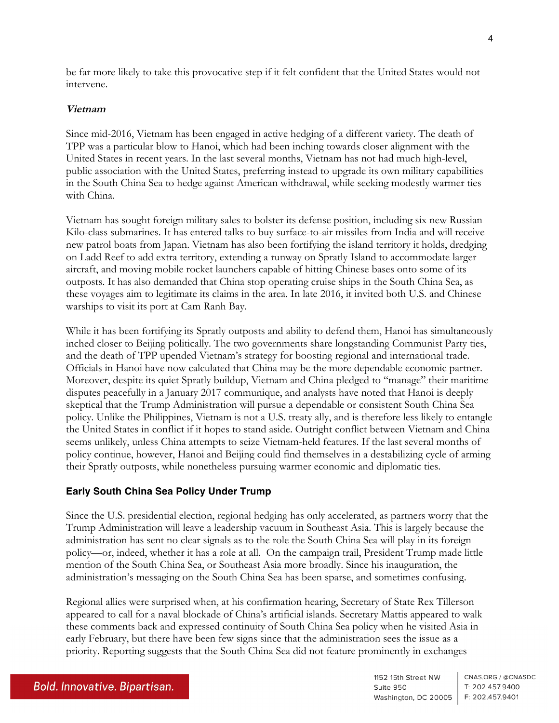be far more likely to take this provocative step if it felt confident that the United States would not intervene.

### **Vietnam**

Since mid-2016, Vietnam has been engaged in active hedging of a different variety. The death of TPP was a particular blow to Hanoi, which had been inching towards closer alignment with the United States in recent years. In the last several months, Vietnam has not had much high-level, public association with the United States, preferring instead to upgrade its own military capabilities in the South China Sea to hedge against American withdrawal, while seeking modestly warmer ties with China.

Vietnam has sought foreign military sales to bolster its defense position, including six new Russian Kilo-class submarines. It has entered talks to buy surface-to-air missiles from India and will receive new patrol boats from Japan. Vietnam has also been fortifying the island territory it holds, dredging on Ladd Reef to add extra territory, extending a runway on Spratly Island to accommodate larger aircraft, and moving mobile rocket launchers capable of hitting Chinese bases onto some of its outposts. It has also demanded that China stop operating cruise ships in the South China Sea, as these voyages aim to legitimate its claims in the area. In late 2016, it invited both U.S. and Chinese warships to visit its port at Cam Ranh Bay.

While it has been fortifying its Spratly outposts and ability to defend them, Hanoi has simultaneously inched closer to Beijing politically. The two governments share longstanding Communist Party ties, and the death of TPP upended Vietnam's strategy for boosting regional and international trade. Officials in Hanoi have now calculated that China may be the more dependable economic partner. Moreover, despite its quiet Spratly buildup, Vietnam and China pledged to "manage" their maritime disputes peacefully in a January 2017 communique, and analysts have noted that Hanoi is deeply skeptical that the Trump Administration will pursue a dependable or consistent South China Sea policy. Unlike the Philippines, Vietnam is not a U.S. treaty ally, and is therefore less likely to entangle the United States in conflict if it hopes to stand aside. Outright conflict between Vietnam and China seems unlikely, unless China attempts to seize Vietnam-held features. If the last several months of policy continue, however, Hanoi and Beijing could find themselves in a destabilizing cycle of arming their Spratly outposts, while nonetheless pursuing warmer economic and diplomatic ties.

## **Early South China Sea Policy Under Trump**

Since the U.S. presidential election, regional hedging has only accelerated, as partners worry that the Trump Administration will leave a leadership vacuum in Southeast Asia. This is largely because the administration has sent no clear signals as to the role the South China Sea will play in its foreign policy—or, indeed, whether it has a role at all. On the campaign trail, President Trump made little mention of the South China Sea, or Southeast Asia more broadly. Since his inauguration, the administration's messaging on the South China Sea has been sparse, and sometimes confusing.

Regional allies were surprised when, at his confirmation hearing, Secretary of State Rex Tillerson appeared to call for a naval blockade of China's artificial islands. Secretary Mattis appeared to walk these comments back and expressed continuity of South China Sea policy when he visited Asia in early February, but there have been few signs since that the administration sees the issue as a priority. Reporting suggests that the South China Sea did not feature prominently in exchanges

1152 15th Street NW CNAS.ORG / @CNASDC Suite 950 T: 202.457.9400 Washington, DC 20005 | F: 202.457.9401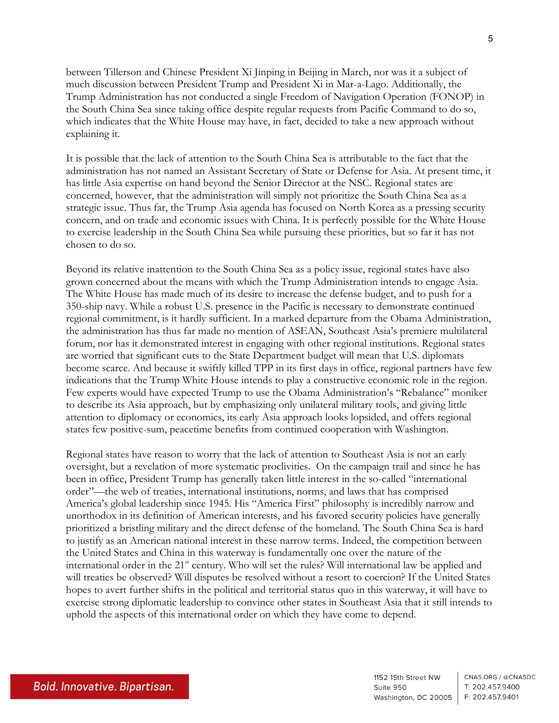between Tillerson and Chinese President Xi Jinping in Beijing in March, nor was it a subject of much discussion between President Trump and President Xi in Mar-a-Lago. Additionally, the Trump Administration has not conducted a single Freedom of Navigation Operation (FONOP) in the South China Sea since taking office despite regular requests from Pacific Command to do so, which indicates that the White House may have, in fact, decided to take a new approach without explaining it.

It is possible that the lack of attention to the South China Sea is attributable to the fact that the administration has not named an Assistant Secretary of State or Defense for Asia. At present time, it has little Asia expertise on hand beyond the Senior Director at the NSC. Regional states are concerned, however, that the administration will simply not prioritize the South China Sea as a strategic issue. Thus far, the Trump Asia agenda has focused on North Korea as a pressing security concern, and on trade and economic issues with China. It is perfectly possible for the White House to exercise leadership in the South China Sea while pursuing these priorities, but so far it has not chosen to do so.

Beyond its relative inattention to the South China Sea as a policy issue, regional states have also grown concerned about the means with which the Trump Administration intends to engage Asia. The White House has made much of its desire to increase the defense budget, and to push for a 350-ship navy. While a robust U.S. presence in the Pacific is necessary to demonstrate continued regional commitment, is it hardly sufficient. In a marked departure from the Obama Administration, the administration has thus far made no mention of ASEAN, Southeast Asia's premiere multilateral forum, nor has it demonstrated interest in engaging with other regional institutions. Regional states are worried that significant cuts to the State Department budget will mean that U.S. diplomats become scarce. And because it swiftly killed TPP in its first days in office, regional partners have few indications that the Trump White House intends to play a constructive economic role in the region. Few experts would have expected Trump to use the Obama Administration's "Rebalance" moniker to describe its Asia approach, but by emphasizing only unilateral military tools, and giving little attention to diplomacy or economics, its early Asia approach looks lopsided, and offers regional states few positive-sum, peacetime benefits from continued cooperation with Washington.

Regional states have reason to worry that the lack of attention to Southeast Asia is not an early oversight, but a revelation of more systematic proclivities. On the campaign trail and since he has been in office, President Trump has generally taken little interest in the so-called "international order"—the web of treaties, international institutions, norms, and laws that has comprised America's global leadership since 1945. His "America First" philosophy is incredibly narrow and unorthodox in its definition of American interests, and his favored security policies have generally prioritized a bristling military and the direct defense of the homeland. The South China Sea is hard to justify as an American national interest in these narrow terms. Indeed, the competition between the United States and China in this waterway is fundamentally one over the nature of the international order in the 21<sup>st</sup> century. Who will set the rules? Will international law be applied and will treaties be observed? Will disputes be resolved without a resort to coercion? If the United States hopes to avert further shifts in the political and territorial status quo in this waterway, it will have to exercise strong diplomatic leadership to convince other states in Southeast Asia that it still intends to uphold the aspects of this international order on which they have come to depend.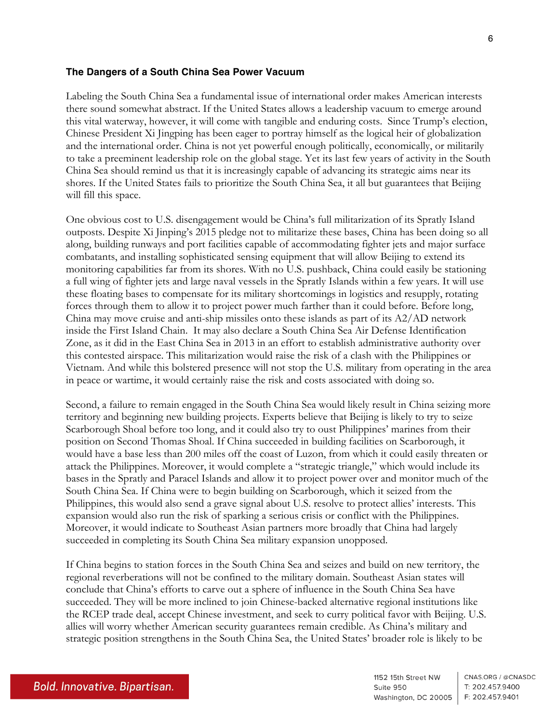#### **The Dangers of a South China Sea Power Vacuum**

Labeling the South China Sea a fundamental issue of international order makes American interests there sound somewhat abstract. If the United States allows a leadership vacuum to emerge around this vital waterway, however, it will come with tangible and enduring costs. Since Trump's election, Chinese President Xi Jingping has been eager to portray himself as the logical heir of globalization and the international order. China is not yet powerful enough politically, economically, or militarily to take a preeminent leadership role on the global stage. Yet its last few years of activity in the South China Sea should remind us that it is increasingly capable of advancing its strategic aims near its shores. If the United States fails to prioritize the South China Sea, it all but guarantees that Beijing will fill this space.

One obvious cost to U.S. disengagement would be China's full militarization of its Spratly Island outposts. Despite Xi Jinping's 2015 pledge not to militarize these bases, China has been doing so all along, building runways and port facilities capable of accommodating fighter jets and major surface combatants, and installing sophisticated sensing equipment that will allow Beijing to extend its monitoring capabilities far from its shores. With no U.S. pushback, China could easily be stationing a full wing of fighter jets and large naval vessels in the Spratly Islands within a few years. It will use these floating bases to compensate for its military shortcomings in logistics and resupply, rotating forces through them to allow it to project power much farther than it could before. Before long, China may move cruise and anti-ship missiles onto these islands as part of its A2/AD network inside the First Island Chain. It may also declare a South China Sea Air Defense Identification Zone, as it did in the East China Sea in 2013 in an effort to establish administrative authority over this contested airspace. This militarization would raise the risk of a clash with the Philippines or Vietnam. And while this bolstered presence will not stop the U.S. military from operating in the area in peace or wartime, it would certainly raise the risk and costs associated with doing so.

Second, a failure to remain engaged in the South China Sea would likely result in China seizing more territory and beginning new building projects. Experts believe that Beijing is likely to try to seize Scarborough Shoal before too long, and it could also try to oust Philippines' marines from their position on Second Thomas Shoal. If China succeeded in building facilities on Scarborough, it would have a base less than 200 miles off the coast of Luzon, from which it could easily threaten or attack the Philippines. Moreover, it would complete a "strategic triangle," which would include its bases in the Spratly and Paracel Islands and allow it to project power over and monitor much of the South China Sea. If China were to begin building on Scarborough, which it seized from the Philippines, this would also send a grave signal about U.S. resolve to protect allies' interests. This expansion would also run the risk of sparking a serious crisis or conflict with the Philippines. Moreover, it would indicate to Southeast Asian partners more broadly that China had largely succeeded in completing its South China Sea military expansion unopposed.

If China begins to station forces in the South China Sea and seizes and build on new territory, the regional reverberations will not be confined to the military domain. Southeast Asian states will conclude that China's efforts to carve out a sphere of influence in the South China Sea have succeeded. They will be more inclined to join Chinese-backed alternative regional institutions like the RCEP trade deal, accept Chinese investment, and seek to curry political favor with Beijing. U.S. allies will worry whether American security guarantees remain credible. As China's military and strategic position strengthens in the South China Sea, the United States' broader role is likely to be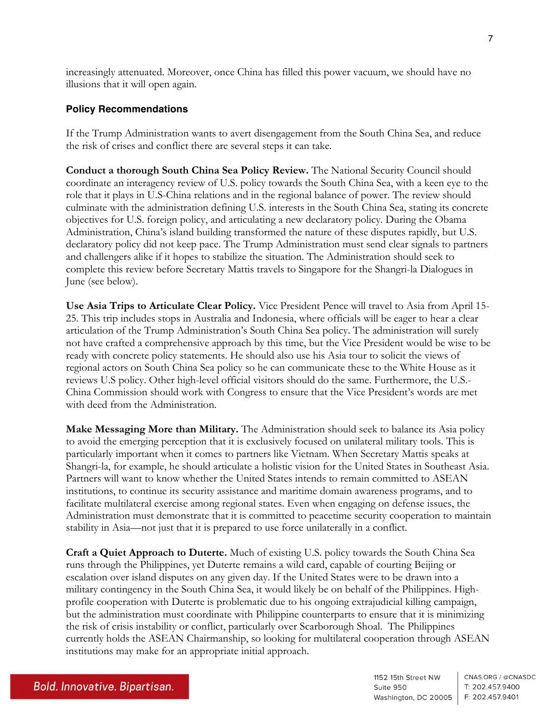increasingly attenuated. Moreover, once China has filled this power vacuum, we should have no illusions that it will open again.

#### **Policy Recommendations**

If the Trump Administration wants to avert disengagement from the South China Sea, and reduce the risk of crises and conflict there are several steps it can take.

**Conduct a thorough South China Sea Policy Review.** The National Security Council should coordinate an interagency review of U.S. policy towards the South China Sea, with a keen eye to the role that it plays in U.S-China relations and in the regional balance of power. The review should culminate with the administration defining U.S. interests in the South China Sea, stating its concrete objectives for U.S. foreign policy, and articulating a new declaratory policy. During the Obama Administration, China's island building transformed the nature of these disputes rapidly, but U.S. declaratory policy did not keep pace. The Trump Administration must send clear signals to partners and challengers alike if it hopes to stabilize the situation. The Administration should seek to complete this review before Secretary Mattis travels to Singapore for the Shangri-la Dialogues in June (see below).

**Use Asia Trips to Articulate Clear Policy.** Vice President Pence will travel to Asia from April 15- 25. This trip includes stops in Australia and Indonesia, where officials will be eager to hear a clear articulation of the Trump Administration's South China Sea policy. The administration will surely not have crafted a comprehensive approach by this time, but the Vice President would be wise to be ready with concrete policy statements. He should also use his Asia tour to solicit the views of regional actors on South China Sea policy so he can communicate these to the White House as it reviews U.S policy. Other high-level official visitors should do the same. Furthermore, the U.S.- China Commission should work with Congress to ensure that the Vice President's words are met with deed from the Administration.

**Make Messaging More than Military.** The Administration should seek to balance its Asia policy to avoid the emerging perception that it is exclusively focused on unilateral military tools. This is particularly important when it comes to partners like Vietnam. When Secretary Mattis speaks at Shangri-la, for example, he should articulate a holistic vision for the United States in Southeast Asia. Partners will want to know whether the United States intends to remain committed to ASEAN institutions, to continue its security assistance and maritime domain awareness programs, and to facilitate multilateral exercise among regional states. Even when engaging on defense issues, the Administration must demonstrate that it is committed to peacetime security cooperation to maintain stability in Asia—not just that it is prepared to use force unilaterally in a conflict.

**Craft a Quiet Approach to Duterte.** Much of existing U.S. policy towards the South China Sea runs through the Philippines, yet Duterte remains a wild card, capable of courting Beijing or escalation over island disputes on any given day. If the United States were to be drawn into a military contingency in the South China Sea, it would likely be on behalf of the Philippines. Highprofile cooperation with Duterte is problematic due to his ongoing extrajudicial killing campaign, but the administration must coordinate with Philippine counterparts to ensure that it is minimizing the risk of crisis instability or conflict, particularly over Scarborough Shoal. The Philippines currently holds the ASEAN Chairmanship, so looking for multilateral cooperation through ASEAN institutions may make for an appropriate initial approach.